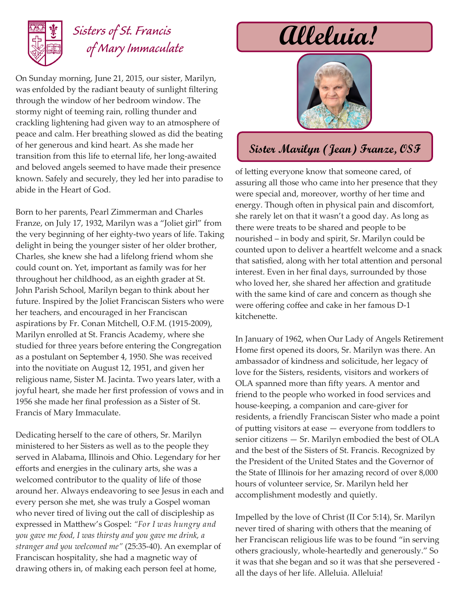

## *Sisters of St. Francis of Mary Immaculate*

On Sunday morning, June 21, 2015, our sister, Marilyn, was enfolded by the radiant beauty of sunlight filtering through the window of her bedroom window. The stormy night of teeming rain, rolling thunder and crackling lightening had given way to an atmosphere of peace and calm. Her breathing slowed as did the beating of her generous and kind heart. As she made her transition from this life to eternal life, her long-awaited and beloved angels seemed to have made their presence known. Safely and securely, they led her into paradise to abide in the Heart of God.

Born to her parents, Pearl Zimmerman and Charles Franze, on July 17, 1932, Marilyn was a "Joliet girl" from the very beginning of her eighty-two years of life. Taking delight in being the younger sister of her older brother, Charles, she knew she had a lifelong friend whom she could count on. Yet, important as family was for her throughout her childhood, as an eighth grader at St. John Parish School, Marilyn began to think about her future. Inspired by the Joliet Franciscan Sisters who were her teachers, and encouraged in her Franciscan aspirations by Fr. Conan Mitchell, O.F.M. (1915-2009), Marilyn enrolled at St. Francis Academy, where she studied for three years before entering the Congregation as a postulant on September 4, 1950. She was received into the novitiate on August 12, 1951, and given her religious name, Sister M. Jacinta. Two years later, with a joyful heart, she made her first profession of vows and in 1956 she made her final profession as a Sister of St. Francis of Mary Immaculate.

Dedicating herself to the care of others, Sr. Marilyn ministered to her Sisters as well as to the people they served in Alabama, Illinois and Ohio. Legendary for her efforts and energies in the culinary arts, she was a welcomed contributor to the quality of life of those around her. Always endeavoring to see Jesus in each and every person she met, she was truly a Gospel woman who never tired of living out the call of discipleship as expressed in Matthew's Gospel: *"For I was hungry and you gave me food, I was thirsty and you gave me drink, a stranger and you welcomed me"* (25:35-40). An exemplar of Franciscan hospitality, she had a magnetic way of drawing others in, of making each person feel at home,

# **Alleluia!**



## **Sister Marilyn (Jean) Franze, OSF**

of letting everyone know that someone cared, of assuring all those who came into her presence that they were special and, moreover, worthy of her time and energy. Though often in physical pain and discomfort, she rarely let on that it wasn't a good day. As long as there were treats to be shared and people to be nourished – in body and spirit, Sr. Marilyn could be counted upon to deliver a heartfelt welcome and a snack that satisfied, along with her total attention and personal interest. Even in her final days, surrounded by those who loved her, she shared her affection and gratitude with the same kind of care and concern as though she were offering coffee and cake in her famous D-1 kitchenette.

In January of 1962, when Our Lady of Angels Retirement Home first opened its doors, Sr. Marilyn was there. An ambassador of kindness and solicitude, her legacy of love for the Sisters, residents, visitors and workers of OLA spanned more than fifty years. A mentor and friend to the people who worked in food services and house-keeping, a companion and care-giver for residents, a friendly Franciscan Sister who made a point of putting visitors at ease — everyone from toddlers to senior citizens — Sr. Marilyn embodied the best of OLA and the best of the Sisters of St. Francis. Recognized by the President of the United States and the Governor of the State of Illinois for her amazing record of over 8,000 hours of volunteer service, Sr. Marilyn held her accomplishment modestly and quietly.

Impelled by the love of Christ (II Cor 5:14), Sr. Marilyn never tired of sharing with others that the meaning of her Franciscan religious life was to be found "in serving others graciously, whole-heartedly and generously." So it was that she began and so it was that she persevered all the days of her life. Alleluia. Alleluia!